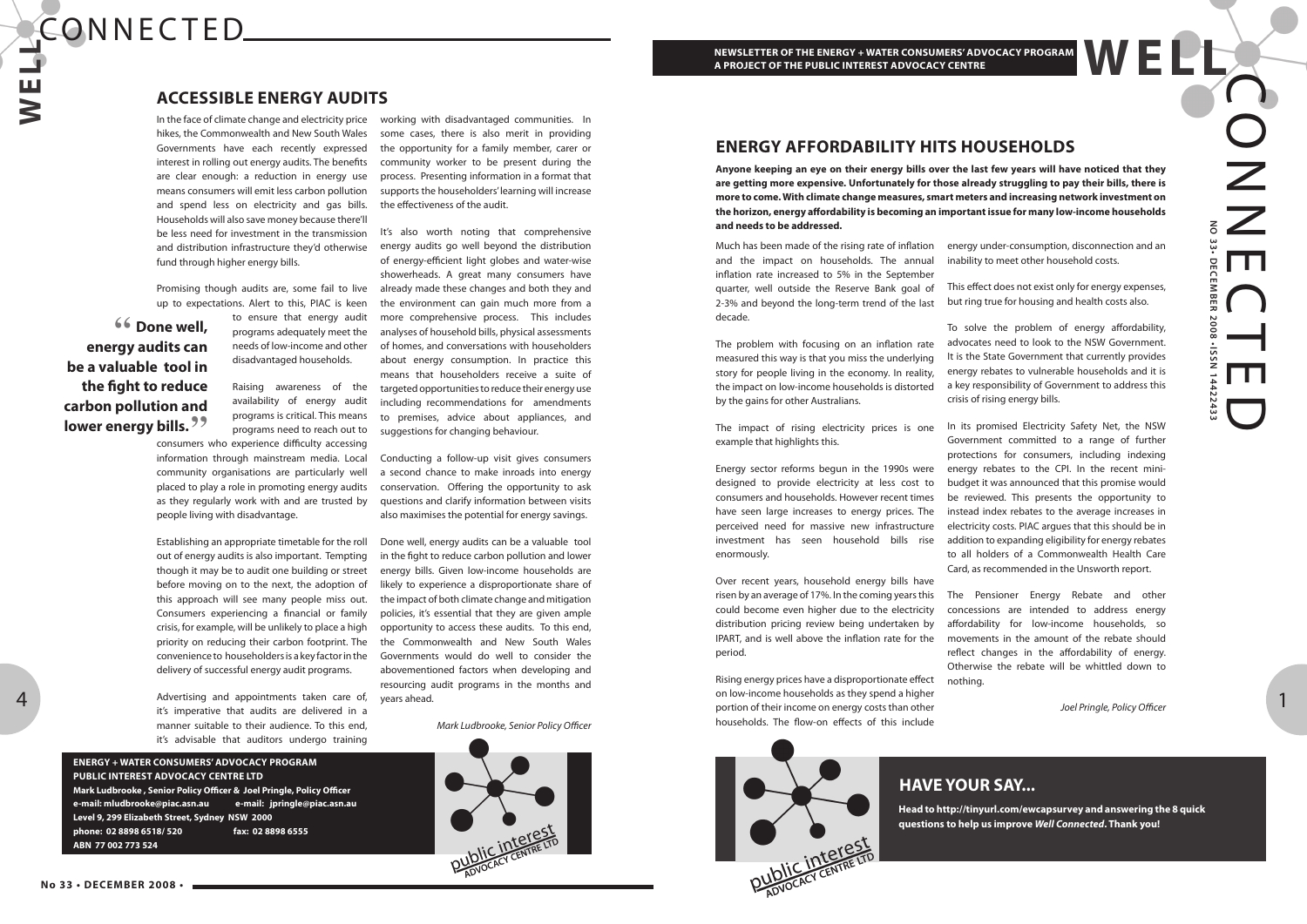# **W E L L** CONNECTED.

OZ Z **NO 33• DECEMBER 2008 •ISSN 14422433** EDECE MBER  $\bigcap$ 2008  $\overline{\phantom{0}}$ -issi ED

4

### **ENERGY + WATER CONSUMERS' ADVOCACY PROGRAM PUBLIC INTEREST ADVOCACY CENTRE LTD**

**Mark Ludbrooke , Senior Policy Officer & Joel Pringle, Policy Officer e-mail: mludbrooke@piac.asn.au e-mail: jpringle@piac.asn.au Level 9, 299 Elizabeth Street, Sydney NSW 2000 phone: 02 8898 6518/ 520 fax: 02 8898 6555 ABN 77 002 773 524**

# **ACCESSIBLE ENERGY AUDITS**

**" Done well, energy audits can be a valuable tool in the fight to reduce carbon pollution and lower energy bills."**

In the face of climate change and electricity price hikes, the Commonwealth and New South Wales Governments have each recently expressed interest in rolling out energy audits. The benefits are clear enough: a reduction in energy use means consumers will emit less carbon pollution and spend less on electricity and gas bills. Households will also save money because there'll be less need for investment in the transmission and distribution infrastructure they'd otherwise fund through higher energy bills.

Promising though audits are, some fail to live up to expectations. Alert to this, PIAC is keen

> to ensure that energy audit programs adequately meet the needs of low-income and other disadvantaged households.

Raising awareness of the availability of energy audit programs is critical. This means programs need to reach out to

consumers who experience difficulty accessing information through mainstream media. Local community organisations are particularly well placed to play a role in promoting energy audits as they regularly work with and are trusted by people living with disadvantage.

Establishing an appropriate timetable for the roll out of energy audits is also important. Tempting though it may be to audit one building or street before moving on to the next, the adoption of this approach will see many people miss out. Consumers experiencing a financial or family crisis, for example, will be unlikely to place a high priority on reducing their carbon footprint. The convenience to householders is a key factor in the delivery of successful energy audit programs.

Advertising and appointments taken care of, it's imperative that audits are delivered in a manner suitable to their audience. To this end, it's advisable that auditors undergo training

working with disadvantaged communities. In some cases, there is also merit in providing the opportunity for a family member, carer or community worker to be present during the process. Presenting information in a format that supports the householders' learning will increase the effectiveness of the audit.

It's also worth noting that comprehensive energy audits go well beyond the distribution of energy-efficient light globes and water-wise showerheads. A great many consumers have already made these changes and both they and the environment can gain much more from a more comprehensive process. This includes analyses of household bills, physical assessments of homes, and conversations with householders about energy consumption. In practice this means that householders receive a suite of targeted opportunities to reduce their energy use including recommendations for amendments to premises, advice about appliances, and suggestions for changing behaviour.

Conducting a follow-up visit gives consumers a second chance to make inroads into energy conservation. Offering the opportunity to ask questions and clarify information between visits also maximises the potential for energy savings.

Done well, energy audits can be a valuable tool in the fight to reduce carbon pollution and lower energy bills. Given low-income households are likely to experience a disproportionate share of the impact of both climate change and mitigation policies, it's essential that they are given ample opportunity to access these audits. To this end, the Commonwealth and New South Wales Governments would do well to consider the abovementioned factors when developing and resourcing audit programs in the months and years ahead.

Mark Ludbrooke, Senior Policy Officer



# **ENERGY AFFORDABILITY HITS HOUSEHOLDS**

Much has been made of the rising rate of inflation and the impact on households. The annual inflation rate increased to 5% in the September

quarter, well outside the Reserve Bank goal of 2-3% and beyond the long-term trend of the last decade.

The problem with focusing on an inflation rate measured this way is that you miss the underlying story for people living in the economy. In reality, the impact on low-income households is distorted by the gains for other Australians.

The impact of rising electricity prices is one example that highlights this.

Energy sector reforms begun in the 1990s were designed to provide electricity at less cost to consumers and households. However recent times have seen large increases to energy prices. The perceived need for massive new infrastructure investment has seen household bills rise enormously.

Over recent years, household energy bills have risen by an average of 17%. In the coming years this could become even higher due to the electricity distribution pricing review being undertaken by IPART, and is well above the inflation rate for the period.

Rising energy prices have a disproportionate effect on low-income households as they spend a higher portion of their income on energy costs than other households. The flow-on effects of this include



energy under-consumption, disconnection and an inability to meet other household costs.

This effect does not exist only for energy expenses, but ring true for housing and health costs also.

To solve the problem of energy affordability, advocates need to look to the NSW Government. It is the State Government that currently provides energy rebates to vulnerable households and it is a key responsibility of Government to address this crisis of rising energy bills.

In its promised Electricity Safety Net, the NSW Government committed to a range of further protections for consumers, including indexing energy rebates to the CPI. In the recent minibudget it was announced that this promise would be reviewed. This presents the opportunity to instead index rebates to the average increases in electricity costs. PIAC argues that this should be in addition to expanding eligibility for energy rebates to all holders of a Commonwealth Health Care Card, as recommended in the Unsworth report.

The Pensioner Energy Rebate and other concessions are intended to address energy affordability for low-income households, so movements in the amount of the rebate should reflect changes in the affordability of energy. Otherwise the rebate will be whittled down to

nothing.

Joel Pringle, Policy Officer

**Anyone keeping an eye on their energy bills over the last few years will have noticed that they are getting more expensive. Unfortunately for those already struggling to pay their bills, there is more to come. With climate change measures, smart meters and increasing network investment on the horizon, energy affordability is becoming an important issue for many low-income households and needs to be addressed.**

**HAVE YOUR SAY...**

**Head to http://tinyurl.com/ewcapsurvey and answering the 8 quick questions to help us improve Well Connected. Thank you!**